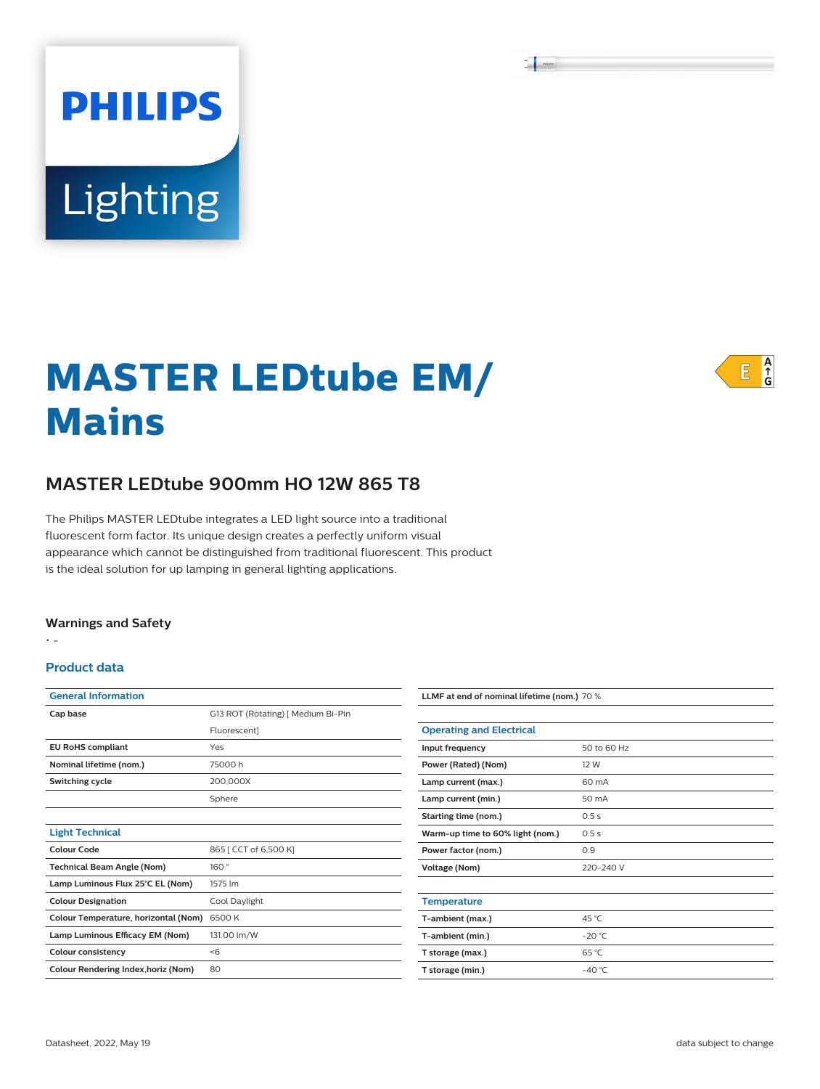# **PHILIPS** Lighting

# A<br>G<br>G  $E$

# **MASTER LEDtube EM/ Mains**

# **MASTER LEDtube 900mm HO 12W 865 T8**

The Philips MASTER LEDtube integrates a LED light source into a traditional fluorescent form factor. Its unique design creates a perfectly uniform visual appearance which cannot be distinguished from traditional fluorescent. This product is the ideal solution for up lamping in general lighting applications.

#### **Warnings and Safety**

• -

#### **Product data**

| <b>General Information</b>                 |                                    |
|--------------------------------------------|------------------------------------|
| Cap base                                   | G13 ROT (Rotating)   Medium Bi-Pin |
|                                            | Fluorescent]                       |
| <b>EU RoHS compliant</b>                   | Yes                                |
| Nominal lifetime (nom.)                    | 75000 h                            |
| Switching cycle                            | 200,000X                           |
|                                            | Sphere                             |
|                                            |                                    |
| <b>Light Technical</b>                     |                                    |
| Colour Code                                | 865 [ CCT of 6,500 K]              |
| <b>Technical Beam Angle (Nom)</b>          | 160°                               |
| Lamp Luminous Flux 25°C EL (Nom)           | 1575 lm                            |
| <b>Colour Designation</b>                  | Cool Daylight                      |
| Colour Temperature, horizontal (Nom)       | 6500K                              |
| Lamp Luminous Efficacy EM (Nom)            | 131.00 lm/W                        |
| Colour consistency                         | $<$ 6                              |
| <b>Colour Rendering Index, horiz (Nom)</b> | 80                                 |

| LLMF at end of nominal lifetime (nom.) 70 % |                 |  |
|---------------------------------------------|-----------------|--|
|                                             |                 |  |
| <b>Operating and Electrical</b>             |                 |  |
| Input frequency                             | 50 to 60 Hz     |  |
| Power (Rated) (Nom)                         | 12 W            |  |
| Lamp current (max.)                         | 60 mA           |  |
| Lamp current (min.)                         | 50 mA           |  |
| Starting time (nom.)                        | 0.5s            |  |
| Warm-up time to 60% light (nom.)            | 0.5s            |  |
| Power factor (nom.)                         | 0.9             |  |
| <b>Voltage (Nom)</b>                        | 220-240 V       |  |
|                                             |                 |  |
| <b>Temperature</b>                          |                 |  |
| T-ambient (max.)                            | 45 °C           |  |
| T-ambient (min.)                            | $-20 °C$        |  |
| T storage (max.)                            | 65 °C           |  |
| T storage (min.)                            | $-40^{\circ}$ C |  |
|                                             |                 |  |

 $\frac{1}{2}$  .  $\frac{1}{2}$  ,  $\frac{1}{2}$  ,  $\frac{1}{2}$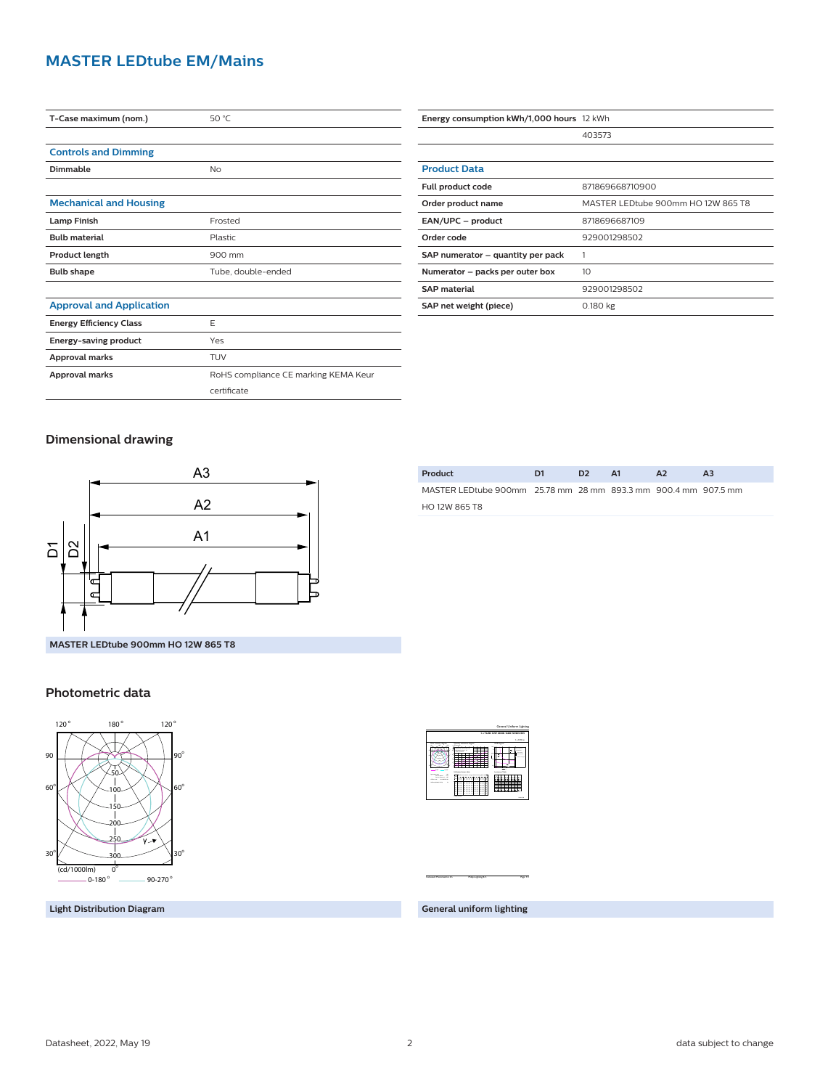### **MASTER LEDtube EM/Mains**

| T-Case maximum (nom.)           | 50 °C                                |
|---------------------------------|--------------------------------------|
|                                 |                                      |
| <b>Controls and Dimming</b>     |                                      |
| Dimmable                        | No                                   |
|                                 |                                      |
| <b>Mechanical and Housing</b>   |                                      |
| <b>Lamp Finish</b>              | Frosted                              |
| <b>Bulb material</b>            | Plastic                              |
| <b>Product length</b>           | 900 mm                               |
| <b>Bulb shape</b>               | Tube, double-ended                   |
|                                 |                                      |
| <b>Approval and Application</b> |                                      |
| <b>Energy Efficiency Class</b>  | E                                    |
| Energy-saving product           | Yes                                  |
| <b>Approval marks</b>           | TUV                                  |
| Approval marks                  | RoHS compliance CE marking KEMA Keur |
|                                 | certificate                          |

| Energy consumption kWh/1,000 hours 12 kWh |                                    |
|-------------------------------------------|------------------------------------|
|                                           | 403573                             |
|                                           |                                    |
| <b>Product Data</b>                       |                                    |
| Full product code                         | 871869668710900                    |
| Order product name                        | MASTER LEDtube 900mm HO 12W 865 T8 |
| EAN/UPC - product                         | 8718696687109                      |
| Order code                                | 929001298502                       |
| SAP numerator - quantity per pack         |                                    |
| Numerator - packs per outer box           | 10 <sup>2</sup>                    |
| <b>SAP material</b>                       | 929001298502                       |
| SAP net weight (piece)                    | 0.180 kg                           |

**Product D1 D2 A1 A2 A3** MASTER LEDtube 900mm 25.78 mm 28 mm 893.3 mm 900.4 mm 907.5 mm

#### **Dimensional drawing**



#### **Photometric data**



1 x 1575 lm Light output ratio 1.000 and 2.000 and 2.000 and 2.000 and 2.000 and 2.000 and 2.000 and 2.000 and 2.000 and 2.000 and 2.000 and 2.000 and 2.000 and 2.000 and 2.000 and 2.000 and 2.000 and 2.000 and 2.000 and 2.000 and 2.0 Service upward 0.15 Cie film code 40 89 85 100 UGRAPH (4HX8H) 24 H Polar intensity diagram  $-$ 0-180<sup>o</sup> 90-270<sup>o</sup> <sup>0</sup> **20** Utilisation factor table Ceiling mounted in Room Index k 1.251**.**  $\sim$ 5.00  $-$ 0.50 0.10 0.41 0.50  $-1$  $\approx$ 0.76  $-1$  $-84$  $-89.89$  $-1$ 0.70 0.30 0.10 0.32 0.40  $-1$ 0.540.59 0.67 0.73 0.77 0.82  $-1$  $\rightarrow$  $-1$  $-26$  $-33$  $-1$  $\equiv$  1.  $-$ -- $-1$  $-1$  $\rightarrow$  $\rightarrow$  $\overline{\phantom{a}}$  $-25$  $-3$  $-1$  $\equiv$  1.440.49  $-1$  $-1$  $\sim$  $-1$  $-1$  $-1$  $-1$ 0.22  $-28.8$ 0.34 0.400.44 0.51 0.56  $-1$  $-1$ 0.68 n planetas. |<br>|-<br>|<br>| 24 1 4.0 4.0 8.0 8.0 12.0 16.0 16.0 m **m** m  $\sim$ Y <sup>h</sup>room: 2.8 m Refl: 0.70 0.50 0.20 Ceiling mounted : viewed endwise <sup>Y</sup> : Parallel to viewing dir. 22 25 - 22 25 25 Luminance Table <sup>2</sup> (cd/m 0.0 15.0 30.0 45.0 60.0 75.0 90.0 50.0 55.0 65.0 70.0 80.0 85.0 90.0 Plane Cone8830 <sup>8309</sup> 78 <sup>6871</sup> <sup>6455</sup> <sup>5786</sup> <sup>5509</sup> <sup>5282</sup> --<sup>7707</sup> <sup>6619</sup> <sup>6147</sup> <sup>5420</sup> <sup>5122</sup> <sup>4904</sup> <sup>8957</sup> <sup>8285</sup> <sup>6965</sup> <sup>6339</sup> <sup>5224</sup> <sup>4750</sup> <sup>4546</sup> <sup>9420</sup> <sup>12861</sup> <sup>12263</sup> <sup>11579</sup> <sup>10807</sup> <sup>9912</sup> <sup>8872</sup> <sup>7583</sup> <sup>5808</sup> <sup>3292</sup> <sup>1148</sup>

 **1 x TLED 12W 6500K 160D 9290012985**

General Uniform Lighting

HO 12W 865 T8

**Light Distribution Diagram**

**General uniform lighting**

CalcuLuX Photometrics 4.5 Philips Lighting B.V. Page: 1/1 Page: 1/1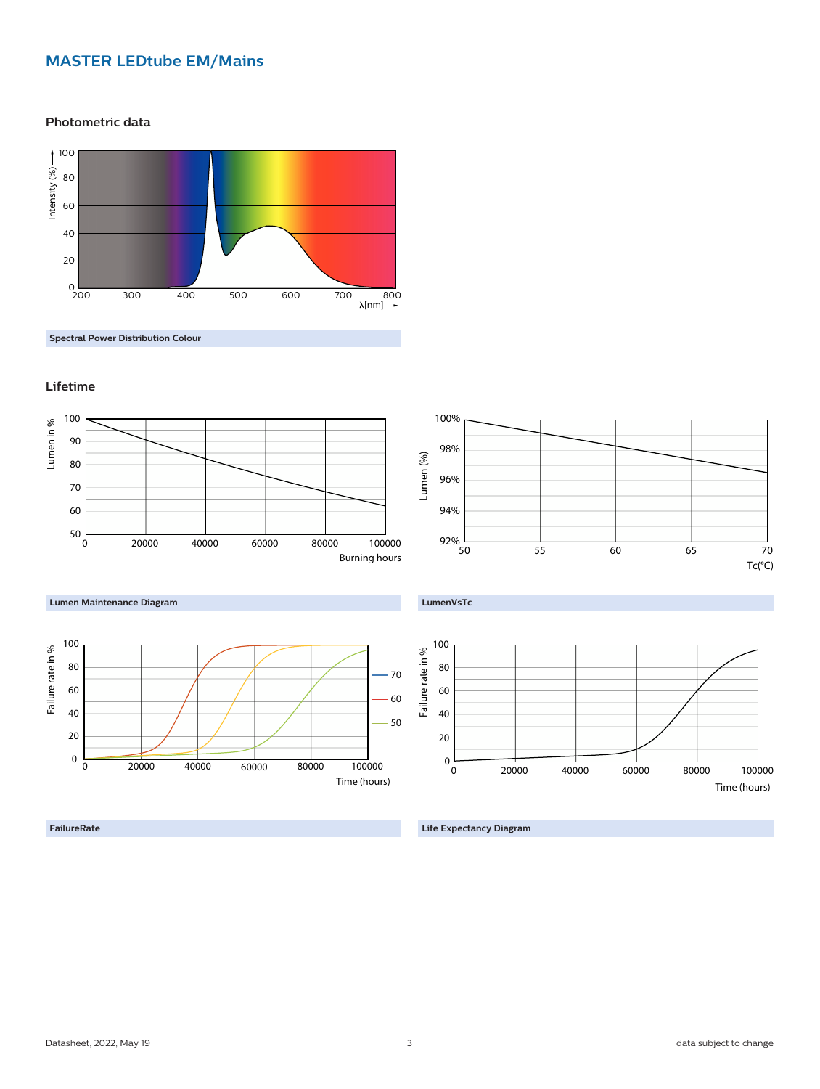## **MASTER LEDtube EM/Mains**

**Photometric data**



**Spectral Power Distribution Colour**

#### **Lifetime**